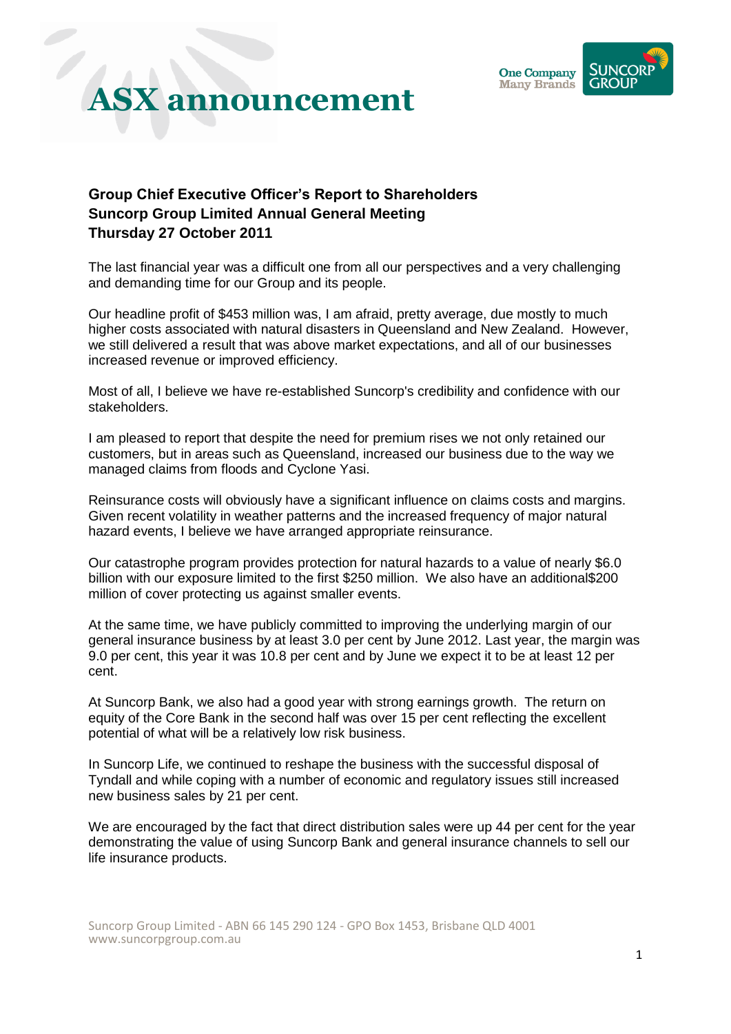

#### **Group Chief Executive Officer's Report to Shareholders Suncorp Group Limited Annual General Meeting Thursday 27 October 2011**

The last financial year was a difficult one from all our perspectives and a very challenging and demanding time for our Group and its people.

Our headline profit of \$453 million was, I am afraid, pretty average, due mostly to much higher costs associated with natural disasters in Queensland and New Zealand. However, we still delivered a result that was above market expectations, and all of our businesses increased revenue or improved efficiency.

Most of all, I believe we have re-established Suncorp's credibility and confidence with our stakeholders.

I am pleased to report that despite the need for premium rises we not only retained our customers, but in areas such as Queensland, increased our business due to the way we managed claims from floods and Cyclone Yasi.

Reinsurance costs will obviously have a significant influence on claims costs and margins. Given recent volatility in weather patterns and the increased frequency of major natural hazard events, I believe we have arranged appropriate reinsurance.

Our catastrophe program provides protection for natural hazards to a value of nearly \$6.0 billion with our exposure limited to the first \$250 million. We also have an additional\$200 million of cover protecting us against smaller events.

At the same time, we have publicly committed to improving the underlying margin of our general insurance business by at least 3.0 per cent by June 2012. Last year, the margin was 9.0 per cent, this year it was 10.8 per cent and by June we expect it to be at least 12 per cent.

At Suncorp Bank, we also had a good year with strong earnings growth. The return on equity of the Core Bank in the second half was over 15 per cent reflecting the excellent potential of what will be a relatively low risk business.

In Suncorp Life, we continued to reshape the business with the successful disposal of Tyndall and while coping with a number of economic and regulatory issues still increased new business sales by 21 per cent.

We are encouraged by the fact that direct distribution sales were up 44 per cent for the year demonstrating the value of using Suncorp Bank and general insurance channels to sell our life insurance products.

Suncorp Group Limited - ABN 66 145 290 124 - GPO Box 1453, Brisbane QLD 4001 www.suncorpgroup.com.au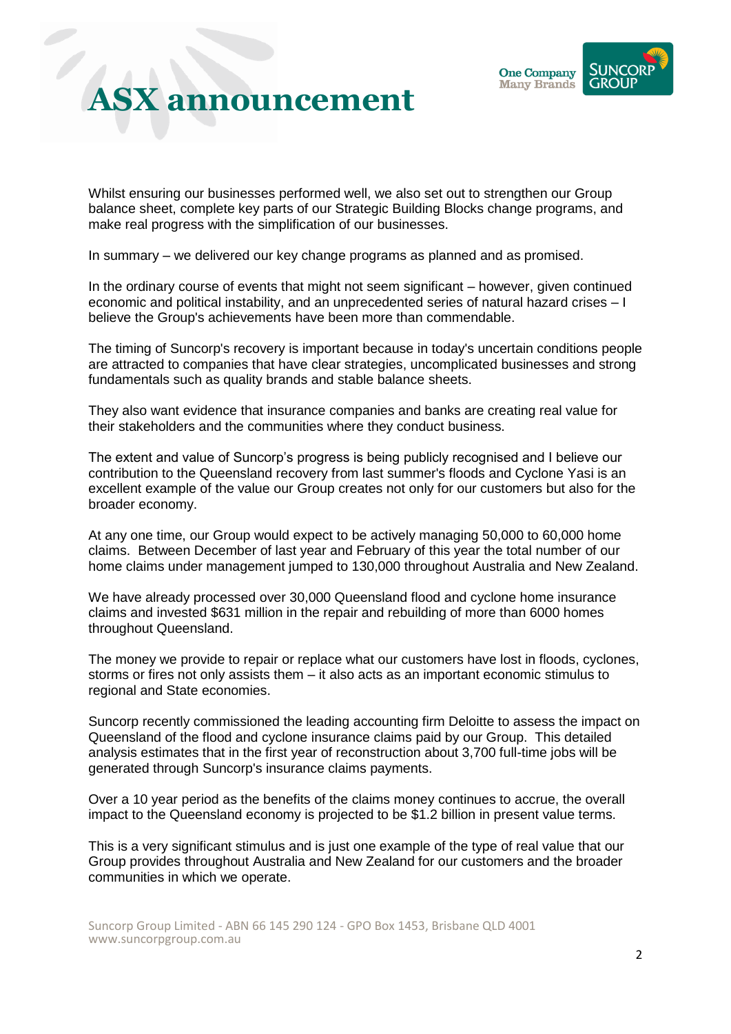

Whilst ensuring our businesses performed well, we also set out to strengthen our Group balance sheet, complete key parts of our Strategic Building Blocks change programs, and make real progress with the simplification of our businesses.

In summary – we delivered our key change programs as planned and as promised.

In the ordinary course of events that might not seem significant – however, given continued economic and political instability, and an unprecedented series of natural hazard crises – I believe the Group's achievements have been more than commendable.

The timing of Suncorp's recovery is important because in today's uncertain conditions people are attracted to companies that have clear strategies, uncomplicated businesses and strong fundamentals such as quality brands and stable balance sheets.

They also want evidence that insurance companies and banks are creating real value for their stakeholders and the communities where they conduct business.

The extent and value of Suncorp's progress is being publicly recognised and I believe our contribution to the Queensland recovery from last summer's floods and Cyclone Yasi is an excellent example of the value our Group creates not only for our customers but also for the broader economy.

At any one time, our Group would expect to be actively managing 50,000 to 60,000 home claims. Between December of last year and February of this year the total number of our home claims under management jumped to 130,000 throughout Australia and New Zealand.

We have already processed over 30,000 Queensland flood and cyclone home insurance claims and invested \$631 million in the repair and rebuilding of more than 6000 homes throughout Queensland.

The money we provide to repair or replace what our customers have lost in floods, cyclones, storms or fires not only assists them – it also acts as an important economic stimulus to regional and State economies.

Suncorp recently commissioned the leading accounting firm Deloitte to assess the impact on Queensland of the flood and cyclone insurance claims paid by our Group. This detailed analysis estimates that in the first year of reconstruction about 3,700 full-time jobs will be generated through Suncorp's insurance claims payments.

Over a 10 year period as the benefits of the claims money continues to accrue, the overall impact to the Queensland economy is projected to be \$1.2 billion in present value terms.

This is a very significant stimulus and is just one example of the type of real value that our Group provides throughout Australia and New Zealand for our customers and the broader communities in which we operate.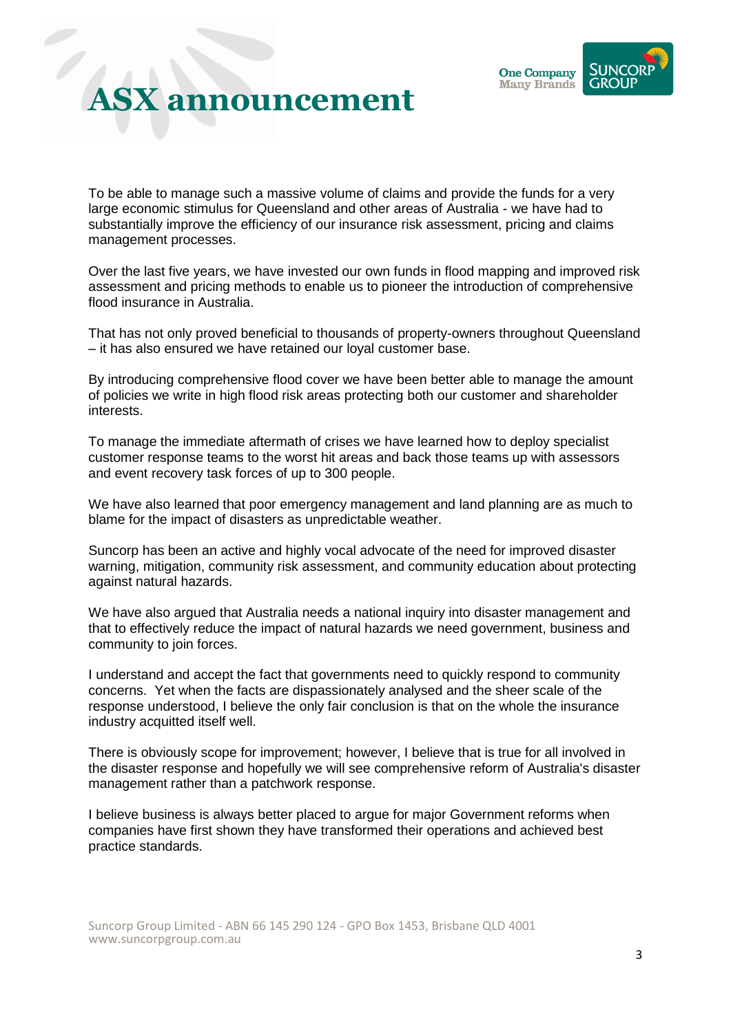

To be able to manage such a massive volume of claims and provide the funds for a very large economic stimulus for Queensland and other areas of Australia - we have had to substantially improve the efficiency of our insurance risk assessment, pricing and claims management processes.

Over the last five years, we have invested our own funds in flood mapping and improved risk assessment and pricing methods to enable us to pioneer the introduction of comprehensive flood insurance in Australia.

That has not only proved beneficial to thousands of property-owners throughout Queensland – it has also ensured we have retained our loyal customer base.

By introducing comprehensive flood cover we have been better able to manage the amount of policies we write in high flood risk areas protecting both our customer and shareholder interests.

To manage the immediate aftermath of crises we have learned how to deploy specialist customer response teams to the worst hit areas and back those teams up with assessors and event recovery task forces of up to 300 people.

We have also learned that poor emergency management and land planning are as much to blame for the impact of disasters as unpredictable weather.

Suncorp has been an active and highly vocal advocate of the need for improved disaster warning, mitigation, community risk assessment, and community education about protecting against natural hazards.

We have also argued that Australia needs a national inquiry into disaster management and that to effectively reduce the impact of natural hazards we need government, business and community to join forces.

I understand and accept the fact that governments need to quickly respond to community concerns. Yet when the facts are dispassionately analysed and the sheer scale of the response understood, I believe the only fair conclusion is that on the whole the insurance industry acquitted itself well.

There is obviously scope for improvement; however, I believe that is true for all involved in the disaster response and hopefully we will see comprehensive reform of Australia's disaster management rather than a patchwork response.

I believe business is always better placed to argue for major Government reforms when companies have first shown they have transformed their operations and achieved best practice standards.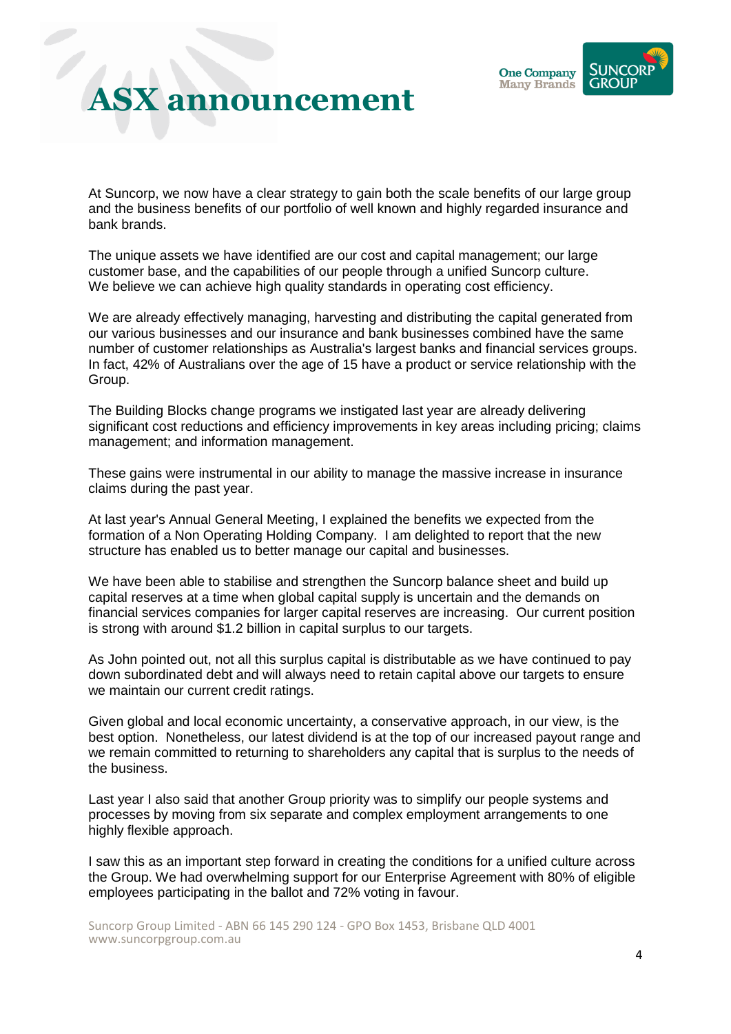

At Suncorp, we now have a clear strategy to gain both the scale benefits of our large group and the business benefits of our portfolio of well known and highly regarded insurance and bank brands.

The unique assets we have identified are our cost and capital management; our large customer base, and the capabilities of our people through a unified Suncorp culture. We believe we can achieve high quality standards in operating cost efficiency.

We are already effectively managing, harvesting and distributing the capital generated from our various businesses and our insurance and bank businesses combined have the same number of customer relationships as Australia's largest banks and financial services groups. In fact, 42% of Australians over the age of 15 have a product or service relationship with the Group.

The Building Blocks change programs we instigated last year are already delivering significant cost reductions and efficiency improvements in key areas including pricing; claims management; and information management.

These gains were instrumental in our ability to manage the massive increase in insurance claims during the past year.

At last year's Annual General Meeting, I explained the benefits we expected from the formation of a Non Operating Holding Company. I am delighted to report that the new structure has enabled us to better manage our capital and businesses.

We have been able to stabilise and strengthen the Suncorp balance sheet and build up capital reserves at a time when global capital supply is uncertain and the demands on financial services companies for larger capital reserves are increasing. Our current position is strong with around \$1.2 billion in capital surplus to our targets.

As John pointed out, not all this surplus capital is distributable as we have continued to pay down subordinated debt and will always need to retain capital above our targets to ensure we maintain our current credit ratings.

Given global and local economic uncertainty, a conservative approach, in our view, is the best option. Nonetheless, our latest dividend is at the top of our increased payout range and we remain committed to returning to shareholders any capital that is surplus to the needs of the business.

Last year I also said that another Group priority was to simplify our people systems and processes by moving from six separate and complex employment arrangements to one highly flexible approach.

I saw this as an important step forward in creating the conditions for a unified culture across the Group. We had overwhelming support for our Enterprise Agreement with 80% of eligible employees participating in the ballot and 72% voting in favour.

Suncorp Group Limited - ABN 66 145 290 124 - GPO Box 1453, Brisbane QLD 4001 www.suncorpgroup.com.au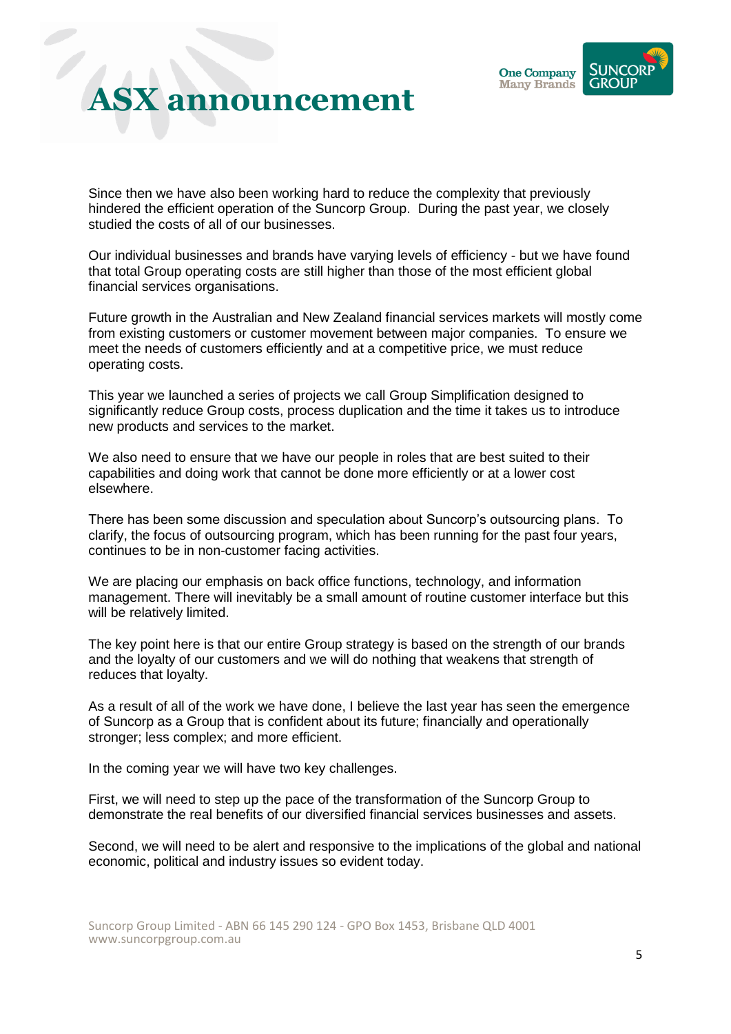

Since then we have also been working hard to reduce the complexity that previously hindered the efficient operation of the Suncorp Group. During the past year, we closely studied the costs of all of our businesses.

Our individual businesses and brands have varying levels of efficiency - but we have found that total Group operating costs are still higher than those of the most efficient global financial services organisations.

Future growth in the Australian and New Zealand financial services markets will mostly come from existing customers or customer movement between major companies. To ensure we meet the needs of customers efficiently and at a competitive price, we must reduce operating costs.

This year we launched a series of projects we call Group Simplification designed to significantly reduce Group costs, process duplication and the time it takes us to introduce new products and services to the market.

We also need to ensure that we have our people in roles that are best suited to their capabilities and doing work that cannot be done more efficiently or at a lower cost elsewhere.

There has been some discussion and speculation about Suncorp's outsourcing plans. To clarify, the focus of outsourcing program, which has been running for the past four years, continues to be in non-customer facing activities.

We are placing our emphasis on back office functions, technology, and information management. There will inevitably be a small amount of routine customer interface but this will be relatively limited.

The key point here is that our entire Group strategy is based on the strength of our brands and the loyalty of our customers and we will do nothing that weakens that strength of reduces that loyalty.

As a result of all of the work we have done, I believe the last year has seen the emergence of Suncorp as a Group that is confident about its future; financially and operationally stronger; less complex; and more efficient.

In the coming year we will have two key challenges.

First, we will need to step up the pace of the transformation of the Suncorp Group to demonstrate the real benefits of our diversified financial services businesses and assets.

Second, we will need to be alert and responsive to the implications of the global and national economic, political and industry issues so evident today.